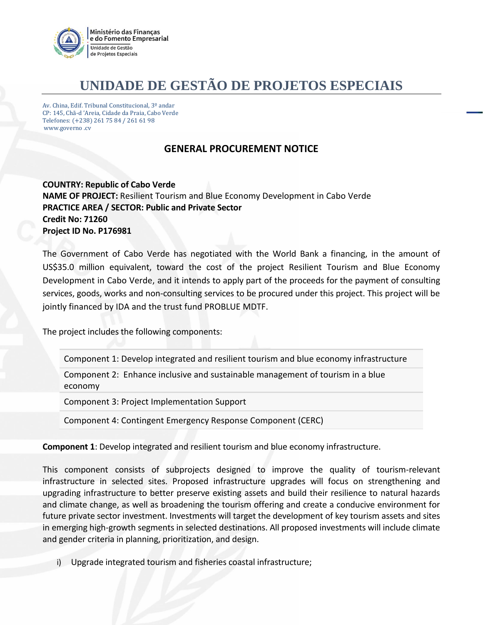

## **UNIDADE DE GESTÃO DE PROJETOS ESPECIAIS**

Av. China, Edif. Tribunal Constitucional, 3º andar CP: 145, Chã-d 'Areia, Cidade da Praia, Cabo Verde Telefones: (+238) 261 75 84 / 261 61 98 www.governo .cv

## **GENERAL PROCUREMENT NOTICE**

**COUNTRY: Republic of Cabo Verde NAME OF PROJECT:** Resilient Tourism and Blue Economy Development in Cabo Verde **PRACTICE AREA / SECTOR: Public and Private Sector Credit No: 71260 Project ID No. P176981**

The Government of Cabo Verde has negotiated with the World Bank a financing, in the amount of US\$35.0 million equivalent, toward the cost of the project Resilient Tourism and Blue Economy Development in Cabo Verde, and it intends to apply part of the proceeds for the payment of consulting services, goods, works and non-consulting services to be procured under this project. This project will be jointly financed by IDA and the trust fund PROBLUE MDTF.

The project includes the following components:

Component 1: Develop integrated and resilient tourism and blue economy infrastructure

Component 2: Enhance inclusive and sustainable management of tourism in a blue economy

Component 3: Project Implementation Support

Component 4: Contingent Emergency Response Component (CERC)

**Component 1**: Develop integrated and resilient tourism and blue economy infrastructure.

This component consists of subprojects designed to improve the quality of tourism-relevant infrastructure in selected sites. Proposed infrastructure upgrades will focus on strengthening and upgrading infrastructure to better preserve existing assets and build their resilience to natural hazards and climate change, as well as broadening the tourism offering and create a conducive environment for future private sector investment. Investments will target the development of key tourism assets and sites in emerging high-growth segments in selected destinations. All proposed investments will include climate and gender criteria in planning, prioritization, and design.

i) Upgrade integrated tourism and fisheries coastal infrastructure;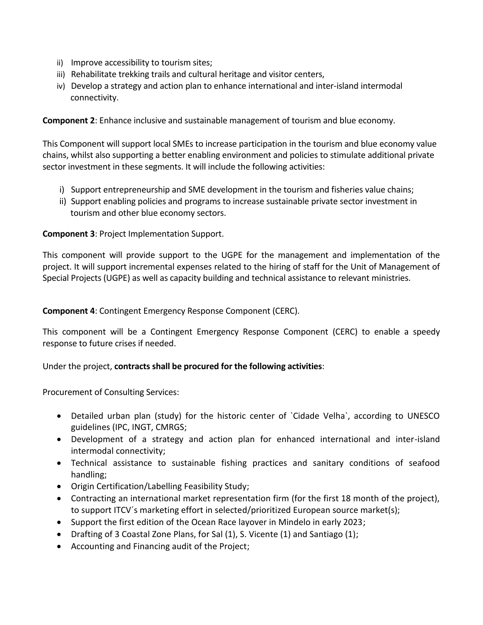- ii) Improve accessibility to tourism sites;
- iii) Rehabilitate trekking trails and cultural heritage and visitor centers,
- iv) Develop a strategy and action plan to enhance international and inter-island intermodal connectivity.

**Component 2**: Enhance inclusive and sustainable management of tourism and blue economy.

This Component will support local SMEs to increase participation in the tourism and blue economy value chains, whilst also supporting a better enabling environment and policies to stimulate additional private sector investment in these segments. It will include the following activities:

- i) Support entrepreneurship and SME development in the tourism and fisheries value chains;
- ii) Support enabling policies and programs to increase sustainable private sector investment in tourism and other blue economy sectors.

## **Component 3**: Project Implementation Support.

This component will provide support to the UGPE for the management and implementation of the project. It will support incremental expenses related to the hiring of staff for the Unit of Management of Special Projects (UGPE) as well as capacity building and technical assistance to relevant ministries.

**Component 4**: Contingent Emergency Response Component (CERC).

This component will be a Contingent Emergency Response Component (CERC) to enable a speedy response to future crises if needed.

Under the project, **contracts shall be procured for the following activities**:

Procurement of Consulting Services:

- Detailed urban plan (study) for the historic center of `Cidade Velha`, according to UNESCO guidelines (IPC, INGT, CMRGS;
- Development of a strategy and action plan for enhanced international and inter-island intermodal connectivity;
- Technical assistance to sustainable fishing practices and sanitary conditions of seafood handling;
- Origin Certification/Labelling Feasibility Study;
- Contracting an international market representation firm (for the first 18 month of the project), to support ITCV´s marketing effort in selected/prioritized European source market(s);
- Support the first edition of the Ocean Race layover in Mindelo in early 2023;
- Drafting of 3 Coastal Zone Plans, for Sal (1), S. Vicente (1) and Santiago (1);
- Accounting and Financing audit of the Project;